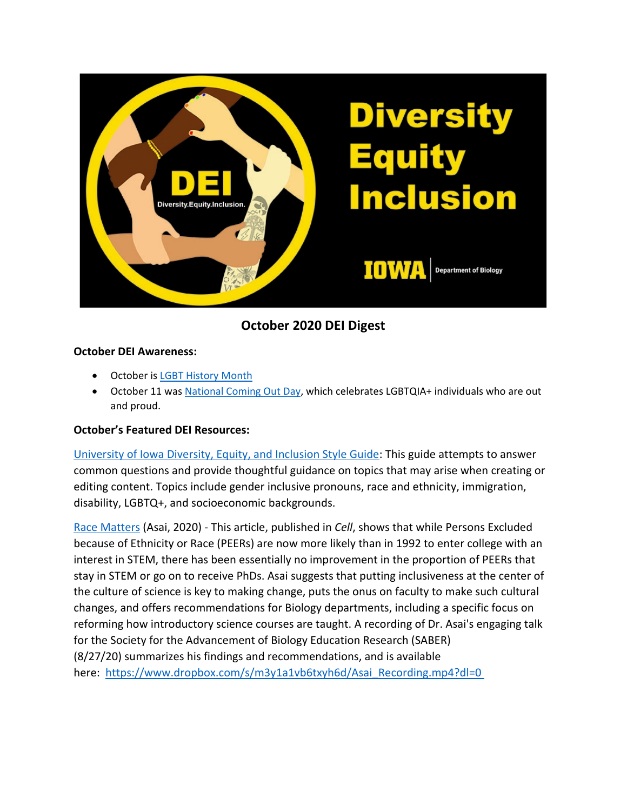

**October 2020 DEI Digest**

## **October DEI Awareness:**

- October is [LGBT History Month](https://lgbthistorymonth.com/)
- October 11 wa[s National Coming Out Day,](https://www.hrc.org/resources/national-coming-out-day) which celebrates LGBTQIA+ individuals who are out and proud.

## **October's Featured DEI Resources:**

[University of Iowa Diversity, Equity, and Inclusion Style Guide:](https://brand.uiowa.edu/sites/brand.uiowa.edu/files/2020-10/IOWA-Diversity-Equity-and-Inclusion-Style-Guide-10-5-20.pdf) This guide attempts to answer common questions and provide thoughtful guidance on topics that may arise when creating or editing content. Topics include gender inclusive pronouns, race and ethnicity, immigration, disability, LGBTQ+, and socioeconomic backgrounds.

[Race Matters](https://www.cell.com/cell/pdf/S0092-8674(20)30337-8.pdf) (Asai, 2020) - This article, published in *Cell*, shows that while Persons Excluded because of Ethnicity or Race (PEERs) are now more likely than in 1992 to enter college with an interest in STEM, there has been essentially no improvement in the proportion of PEERs that stay in STEM or go on to receive PhDs. Asai suggests that putting inclusiveness at the center of the culture of science is key to making change, puts the onus on faculty to make such cultural changes, and offers recommendations for Biology departments, including a specific focus on reforming how introductory science courses are taught. A recording of Dr. Asai's engaging talk for the Society for the Advancement of Biology Education Research (SABER) (8/27/20) summarizes his findings and recommendations, and is available here: [https://www.dropbox.com/s/m3y1a1vb6txyh6d/Asai\\_Recording.mp4?dl=0](https://www.dropbox.com/s/m3y1a1vb6txyh6d/Asai_Recording.mp4?dl=0%C2%A0)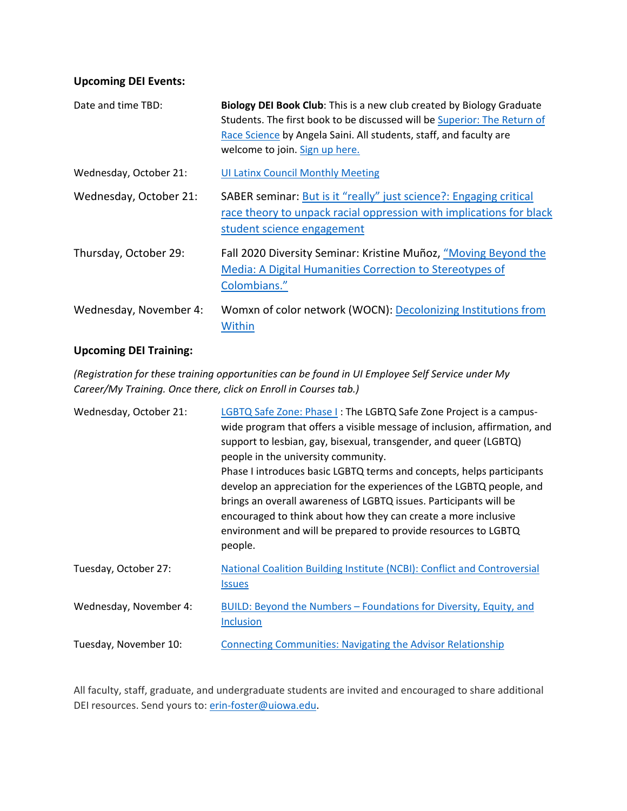## **Upcoming DEI Events:**

| Date and time TBD:     | Biology DEI Book Club: This is a new club created by Biology Graduate<br>Students. The first book to be discussed will be Superior: The Return of<br>Race Science by Angela Saini. All students, staff, and faculty are<br>welcome to join. Sign up here. |
|------------------------|-----------------------------------------------------------------------------------------------------------------------------------------------------------------------------------------------------------------------------------------------------------|
| Wednesday, October 21: | <b>UI Latinx Council Monthly Meeting</b>                                                                                                                                                                                                                  |
| Wednesday, October 21: | SABER seminar: But is it "really" just science?: Engaging critical<br>race theory to unpack racial oppression with implications for black<br>student science engagement                                                                                   |
| Thursday, October 29:  | Fall 2020 Diversity Seminar: Kristine Muñoz, "Moving Beyond the<br>Media: A Digital Humanities Correction to Stereotypes of<br>Colombians."                                                                                                               |
| Wednesday, November 4: | Womxn of color network (WOCN): Decolonizing Institutions from<br>Within                                                                                                                                                                                   |

## **Upcoming DEI Training:**

*(Registration for these training opportunities can be found in UI Employee Self Service under My Career/My Training. Once there, click on Enroll in Courses tab.)*

| Wednesday, October 21: | LGBTQ Safe Zone: Phase I: The LGBTQ Safe Zone Project is a campus-<br>wide program that offers a visible message of inclusion, affirmation, and<br>support to lesbian, gay, bisexual, transgender, and queer (LGBTQ)<br>people in the university community.<br>Phase I introduces basic LGBTQ terms and concepts, helps participants<br>develop an appreciation for the experiences of the LGBTQ people, and<br>brings an overall awareness of LGBTQ issues. Participants will be<br>encouraged to think about how they can create a more inclusive<br>environment and will be prepared to provide resources to LGBTQ<br>people. |
|------------------------|----------------------------------------------------------------------------------------------------------------------------------------------------------------------------------------------------------------------------------------------------------------------------------------------------------------------------------------------------------------------------------------------------------------------------------------------------------------------------------------------------------------------------------------------------------------------------------------------------------------------------------|
| Tuesday, October 27:   | National Coalition Building Institute (NCBI): Conflict and Controversial<br><b>Issues</b>                                                                                                                                                                                                                                                                                                                                                                                                                                                                                                                                        |
| Wednesday, November 4: | BUILD: Beyond the Numbers - Foundations for Diversity, Equity, and<br><b>Inclusion</b>                                                                                                                                                                                                                                                                                                                                                                                                                                                                                                                                           |
| Tuesday, November 10:  | <b>Connecting Communities: Navigating the Advisor Relationship</b>                                                                                                                                                                                                                                                                                                                                                                                                                                                                                                                                                               |

All faculty, staff, graduate, and undergraduate students are invited and encouraged to share additional DEI resources. Send yours to: [erin-foster@uiowa.edu.](mailto:erin-foster@uiowa.edu)